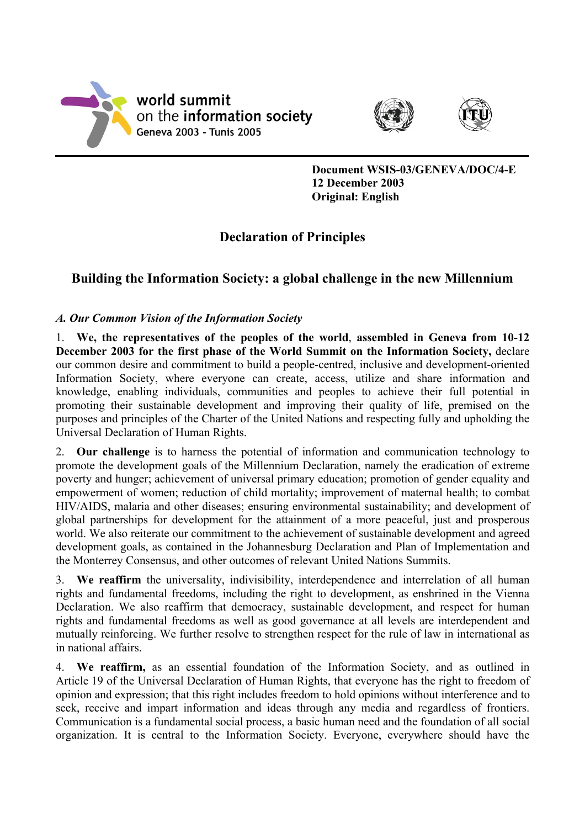





**Document WSIS-03/GENEVA/DOC/4-E 12 December 2003 Original: English** 

# **Declaration of Principles**

# **Building the Information Society: a global challenge in the new Millennium**

# *A. Our Common Vision of the Information Society*

1. **We, the representatives of the peoples of the world**, **assembled in Geneva from 10-12 December 2003 for the first phase of the World Summit on the Information Society,** declare our common desire and commitment to build a people-centred, inclusive and development-oriented Information Society, where everyone can create, access, utilize and share information and knowledge, enabling individuals, communities and peoples to achieve their full potential in promoting their sustainable development and improving their quality of life, premised on the purposes and principles of the Charter of the United Nations and respecting fully and upholding the Universal Declaration of Human Rights.

2. **Our challenge** is to harness the potential of information and communication technology to promote the development goals of the Millennium Declaration, namely the eradication of extreme poverty and hunger; achievement of universal primary education; promotion of gender equality and empowerment of women; reduction of child mortality; improvement of maternal health; to combat HIV/AIDS, malaria and other diseases; ensuring environmental sustainability; and development of global partnerships for development for the attainment of a more peaceful, just and prosperous world. We also reiterate our commitment to the achievement of sustainable development and agreed development goals, as contained in the Johannesburg Declaration and Plan of Implementation and the Monterrey Consensus, and other outcomes of relevant United Nations Summits.

3. **We reaffirm** the universality, indivisibility, interdependence and interrelation of all human rights and fundamental freedoms, including the right to development, as enshrined in the Vienna Declaration. We also reaffirm that democracy, sustainable development, and respect for human rights and fundamental freedoms as well as good governance at all levels are interdependent and mutually reinforcing. We further resolve to strengthen respect for the rule of law in international as in national affairs.

4. **We reaffirm,** as an essential foundation of the Information Society, and as outlined in Article 19 of the Universal Declaration of Human Rights, that everyone has the right to freedom of opinion and expression; that this right includes freedom to hold opinions without interference and to seek, receive and impart information and ideas through any media and regardless of frontiers. Communication is a fundamental social process, a basic human need and the foundation of all social organization. It is central to the Information Society. Everyone, everywhere should have the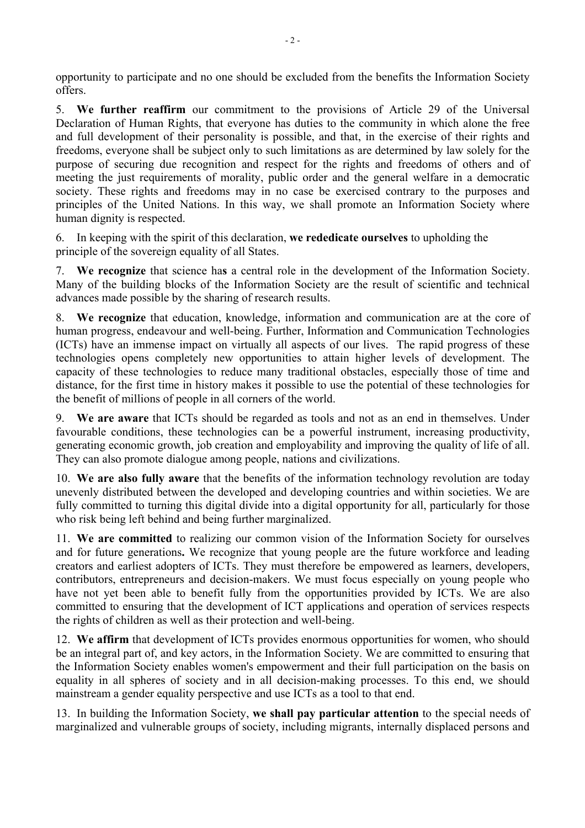opportunity to participate and no one should be excluded from the benefits the Information Society offers.

5. **We further reaffirm** our commitment to the provisions of Article 29 of the Universal Declaration of Human Rights, that everyone has duties to the community in which alone the free and full development of their personality is possible, and that, in the exercise of their rights and freedoms, everyone shall be subject only to such limitations as are determined by law solely for the purpose of securing due recognition and respect for the rights and freedoms of others and of meeting the just requirements of morality, public order and the general welfare in a democratic society. These rights and freedoms may in no case be exercised contrary to the purposes and principles of the United Nations. In this way, we shall promote an Information Society where human dignity is respected.

6. In keeping with the spirit of this declaration, **we rededicate ourselves** to upholding the principle of the sovereign equality of all States.

7. **We recognize** that science ha**s** a central role in the development of the Information Society. Many of the building blocks of the Information Society are the result of scientific and technical advances made possible by the sharing of research results.

8. **We recognize** that education, knowledge, information and communication are at the core of human progress, endeavour and well-being. Further, Information and Communication Technologies (ICTs) have an immense impact on virtually all aspects of our lives. The rapid progress of these technologies opens completely new opportunities to attain higher levels of development. The capacity of these technologies to reduce many traditional obstacles, especially those of time and distance, for the first time in history makes it possible to use the potential of these technologies for the benefit of millions of people in all corners of the world.

9. **We are aware** that ICTs should be regarded as tools and not as an end in themselves. Under favourable conditions, these technologies can be a powerful instrument, increasing productivity, generating economic growth, job creation and employability and improving the quality of life of all. They can also promote dialogue among people, nations and civilizations.

10. **We are also fully aware** that the benefits of the information technology revolution are today unevenly distributed between the developed and developing countries and within societies. We are fully committed to turning this digital divide into a digital opportunity for all, particularly for those who risk being left behind and being further marginalized.

11. **We are committed** to realizing our common vision of the Information Society for ourselves and for future generations**.** We recognize that young people are the future workforce and leading creators and earliest adopters of ICTs. They must therefore be empowered as learners, developers, contributors, entrepreneurs and decision-makers. We must focus especially on young people who have not yet been able to benefit fully from the opportunities provided by ICTs. We are also committed to ensuring that the development of ICT applications and operation of services respects the rights of children as well as their protection and well-being.

12. **We affirm** that development of ICTs provides enormous opportunities for women, who should be an integral part of, and key actors, in the Information Society. We are committed to ensuring that the Information Society enables women's empowerment and their full participation on the basis on equality in all spheres of society and in all decision-making processes. To this end, we should mainstream a gender equality perspective and use ICTs as a tool to that end.

13. In building the Information Society, **we shall pay particular attention** to the special needs of marginalized and vulnerable groups of society, including migrants, internally displaced persons and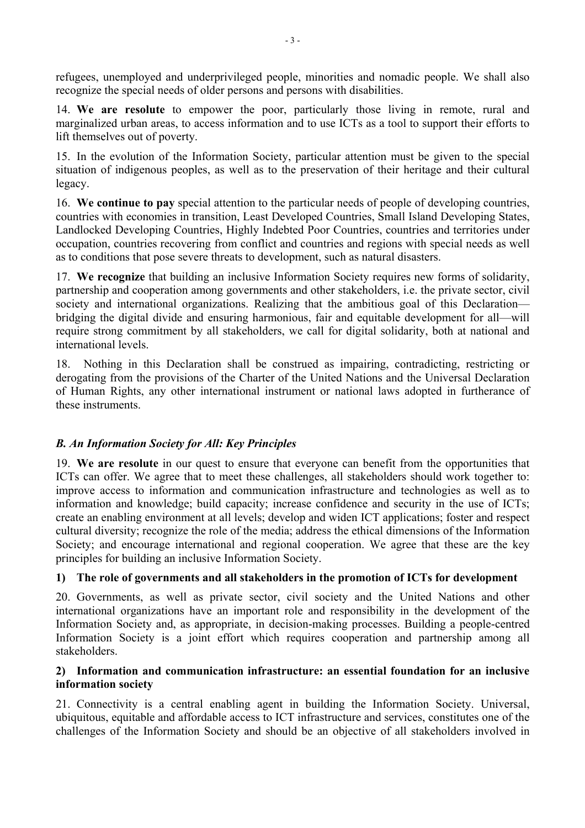refugees, unemployed and underprivileged people, minorities and nomadic people. We shall also recognize the special needs of older persons and persons with disabilities.

14. **We are resolute** to empower the poor, particularly those living in remote, rural and marginalized urban areas, to access information and to use ICTs as a tool to support their efforts to lift themselves out of poverty.

15. In the evolution of the Information Society, particular attention must be given to the special situation of indigenous peoples, as well as to the preservation of their heritage and their cultural legacy.

16. **We continue to pay** special attention to the particular needs of people of developing countries, countries with economies in transition, Least Developed Countries, Small Island Developing States, Landlocked Developing Countries, Highly Indebted Poor Countries, countries and territories under occupation, countries recovering from conflict and countries and regions with special needs as well as to conditions that pose severe threats to development, such as natural disasters.

17. **We recognize** that building an inclusive Information Society requires new forms of solidarity, partnership and cooperation among governments and other stakeholders, i.e. the private sector, civil society and international organizations. Realizing that the ambitious goal of this Declaration bridging the digital divide and ensuring harmonious, fair and equitable development for all—will require strong commitment by all stakeholders, we call for digital solidarity, both at national and international levels.

18. Nothing in this Declaration shall be construed as impairing, contradicting, restricting or derogating from the provisions of the Charter of the United Nations and the Universal Declaration of Human Rights, any other international instrument or national laws adopted in furtherance of these instruments.

# *B. An Information Society for All: Key Principles*

19. **We are resolute** in our quest to ensure that everyone can benefit from the opportunities that ICTs can offer. We agree that to meet these challenges, all stakeholders should work together to: improve access to information and communication infrastructure and technologies as well as to information and knowledge; build capacity; increase confidence and security in the use of ICTs; create an enabling environment at all levels; develop and widen ICT applications; foster and respect cultural diversity; recognize the role of the media; address the ethical dimensions of the Information Society; and encourage international and regional cooperation. We agree that these are the key principles for building an inclusive Information Society.

# **1) The role of governments and all stakeholders in the promotion of ICTs for development**

20. Governments, as well as private sector, civil society and the United Nations and other international organizations have an important role and responsibility in the development of the Information Society and, as appropriate, in decision-making processes. Building a people-centred Information Society is a joint effort which requires cooperation and partnership among all stakeholders.

## **2) Information and communication infrastructure: an essential foundation for an inclusive information society**

21. Connectivity is a central enabling agent in building the Information Society. Universal, ubiquitous, equitable and affordable access to ICT infrastructure and services, constitutes one of the challenges of the Information Society and should be an objective of all stakeholders involved in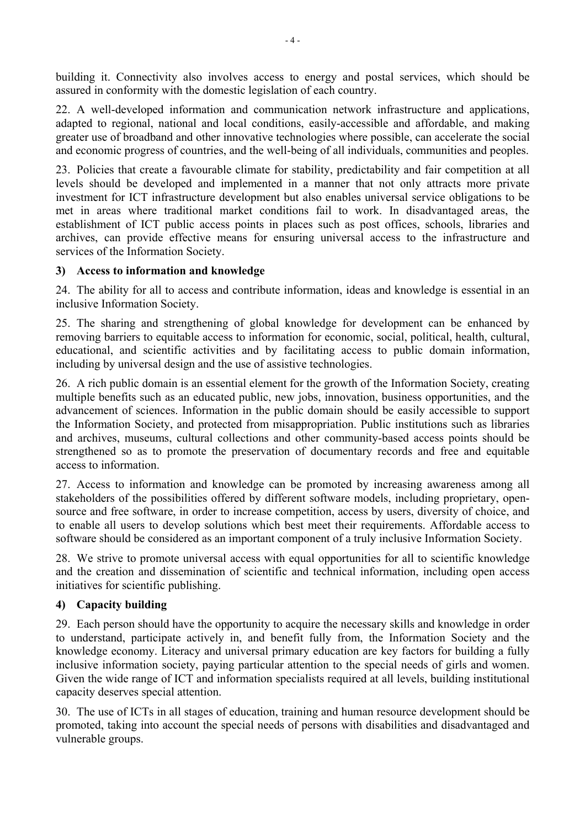building it. Connectivity also involves access to energy and postal services, which should be assured in conformity with the domestic legislation of each country.

22. A well-developed information and communication network infrastructure and applications, adapted to regional, national and local conditions, easily-accessible and affordable, and making greater use of broadband and other innovative technologies where possible, can accelerate the social and economic progress of countries, and the well-being of all individuals, communities and peoples.

23. Policies that create a favourable climate for stability, predictability and fair competition at all levels should be developed and implemented in a manner that not only attracts more private investment for ICT infrastructure development but also enables universal service obligations to be met in areas where traditional market conditions fail to work. In disadvantaged areas, the establishment of ICT public access points in places such as post offices, schools, libraries and archives, can provide effective means for ensuring universal access to the infrastructure and services of the Information Society.

### **3) Access to information and knowledge**

24. The ability for all to access and contribute information, ideas and knowledge is essential in an inclusive Information Society.

25. The sharing and strengthening of global knowledge for development can be enhanced by removing barriers to equitable access to information for economic, social, political, health, cultural, educational, and scientific activities and by facilitating access to public domain information, including by universal design and the use of assistive technologies.

26. A rich public domain is an essential element for the growth of the Information Society, creating multiple benefits such as an educated public, new jobs, innovation, business opportunities, and the advancement of sciences. Information in the public domain should be easily accessible to support the Information Society, and protected from misappropriation. Public institutions such as libraries and archives, museums, cultural collections and other community-based access points should be strengthened so as to promote the preservation of documentary records and free and equitable access to information.

27. Access to information and knowledge can be promoted by increasing awareness among all stakeholders of the possibilities offered by different software models, including proprietary, opensource and free software, in order to increase competition, access by users, diversity of choice, and to enable all users to develop solutions which best meet their requirements. Affordable access to software should be considered as an important component of a truly inclusive Information Society.

28. We strive to promote universal access with equal opportunities for all to scientific knowledge and the creation and dissemination of scientific and technical information, including open access initiatives for scientific publishing.

### **4) Capacity building**

29. Each person should have the opportunity to acquire the necessary skills and knowledge in order to understand, participate actively in, and benefit fully from, the Information Society and the knowledge economy. Literacy and universal primary education are key factors for building a fully inclusive information society, paying particular attention to the special needs of girls and women. Given the wide range of ICT and information specialists required at all levels, building institutional capacity deserves special attention.

30. The use of ICTs in all stages of education, training and human resource development should be promoted, taking into account the special needs of persons with disabilities and disadvantaged and vulnerable groups.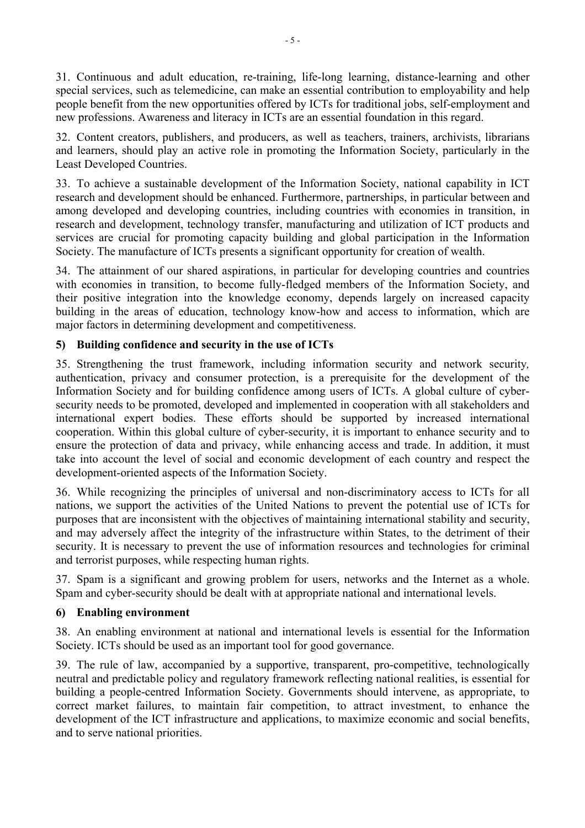31. Continuous and adult education, re-training, life-long learning, distance-learning and other special services, such as telemedicine, can make an essential contribution to employability and help people benefit from the new opportunities offered by ICTs for traditional jobs, self-employment and new professions. Awareness and literacy in ICTs are an essential foundation in this regard.

32. Content creators, publishers, and producers, as well as teachers, trainers, archivists, librarians and learners, should play an active role in promoting the Information Society, particularly in the Least Developed Countries.

33. To achieve a sustainable development of the Information Society, national capability in ICT research and development should be enhanced. Furthermore, partnerships, in particular between and among developed and developing countries, including countries with economies in transition, in research and development, technology transfer, manufacturing and utilization of ICT products and services are crucial for promoting capacity building and global participation in the Information Society. The manufacture of ICTs presents a significant opportunity for creation of wealth.

34. The attainment of our shared aspirations, in particular for developing countries and countries with economies in transition, to become fully-fledged members of the Information Society, and their positive integration into the knowledge economy, depends largely on increased capacity building in the areas of education, technology know-how and access to information, which are major factors in determining development and competitiveness.

## **5) Building confidence and security in the use of ICTs**

35. Strengthening the trust framework, including information security and network security*,* authentication, privacy and consumer protection, is a prerequisite for the development of the Information Society and for building confidence among users of ICTs. A global culture of cybersecurity needs to be promoted, developed and implemented in cooperation with all stakeholders and international expert bodies. These efforts should be supported by increased international cooperation. Within this global culture of cyber-security, it is important to enhance security and to ensure the protection of data and privacy, while enhancing access and trade. In addition, it must take into account the level of social and economic development of each country and respect the development-oriented aspects of the Information Society.

36. While recognizing the principles of universal and non-discriminatory access to ICTs for all nations, we support the activities of the United Nations to prevent the potential use of ICTs for purposes that are inconsistent with the objectives of maintaining international stability and security, and may adversely affect the integrity of the infrastructure within States, to the detriment of their security. It is necessary to prevent the use of information resources and technologies for criminal and terrorist purposes, while respecting human rights.

37. Spam is a significant and growing problem for users, networks and the Internet as a whole. Spam and cyber-security should be dealt with at appropriate national and international levels.

### **6) Enabling environment**

38. An enabling environment at national and international levels is essential for the Information Society. ICTs should be used as an important tool for good governance.

39. The rule of law, accompanied by a supportive, transparent, pro-competitive, technologically neutral and predictable policy and regulatory framework reflecting national realities, is essential for building a people-centred Information Society. Governments should intervene, as appropriate, to correct market failures, to maintain fair competition, to attract investment, to enhance the development of the ICT infrastructure and applications, to maximize economic and social benefits, and to serve national priorities.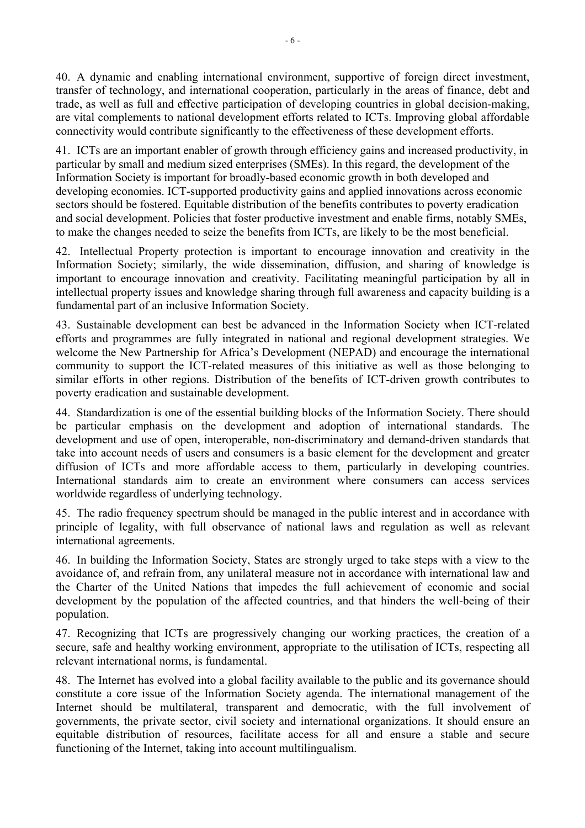40. A dynamic and enabling international environment, supportive of foreign direct investment, transfer of technology, and international cooperation, particularly in the areas of finance, debt and trade, as well as full and effective participation of developing countries in global decision-making, are vital complements to national development efforts related to ICTs. Improving global affordable connectivity would contribute significantly to the effectiveness of these development efforts.

41. ICTs are an important enabler of growth through efficiency gains and increased productivity, in particular by small and medium sized enterprises (SMEs). In this regard, the development of the Information Society is important for broadly-based economic growth in both developed and developing economies. ICT-supported productivity gains and applied innovations across economic sectors should be fostered. Equitable distribution of the benefits contributes to poverty eradication and social development. Policies that foster productive investment and enable firms, notably SMEs, to make the changes needed to seize the benefits from ICTs, are likely to be the most beneficial.

42. Intellectual Property protection is important to encourage innovation and creativity in the Information Society; similarly, the wide dissemination, diffusion, and sharing of knowledge is important to encourage innovation and creativity. Facilitating meaningful participation by all in intellectual property issues and knowledge sharing through full awareness and capacity building is a fundamental part of an inclusive Information Society.

43. Sustainable development can best be advanced in the Information Society when ICT-related efforts and programmes are fully integrated in national and regional development strategies. We welcome the New Partnership for Africa's Development (NEPAD) and encourage the international community to support the ICT-related measures of this initiative as well as those belonging to similar efforts in other regions. Distribution of the benefits of ICT-driven growth contributes to poverty eradication and sustainable development.

44. Standardization is one of the essential building blocks of the Information Society. There should be particular emphasis on the development and adoption of international standards. The development and use of open, interoperable, non-discriminatory and demand-driven standards that take into account needs of users and consumers is a basic element for the development and greater diffusion of ICTs and more affordable access to them, particularly in developing countries. International standards aim to create an environment where consumers can access services worldwide regardless of underlying technology.

45. The radio frequency spectrum should be managed in the public interest and in accordance with principle of legality, with full observance of national laws and regulation as well as relevant international agreements.

46. In building the Information Society, States are strongly urged to take steps with a view to the avoidance of, and refrain from, any unilateral measure not in accordance with international law and the Charter of the United Nations that impedes the full achievement of economic and social development by the population of the affected countries, and that hinders the well-being of their population.

47. Recognizing that ICTs are progressively changing our working practices, the creation of a secure, safe and healthy working environment, appropriate to the utilisation of ICTs, respecting all relevant international norms, is fundamental.

48. The Internet has evolved into a global facility available to the public and its governance should constitute a core issue of the Information Society agenda. The international management of the Internet should be multilateral, transparent and democratic, with the full involvement of governments, the private sector, civil society and international organizations. It should ensure an equitable distribution of resources, facilitate access for all and ensure a stable and secure functioning of the Internet, taking into account multilingualism.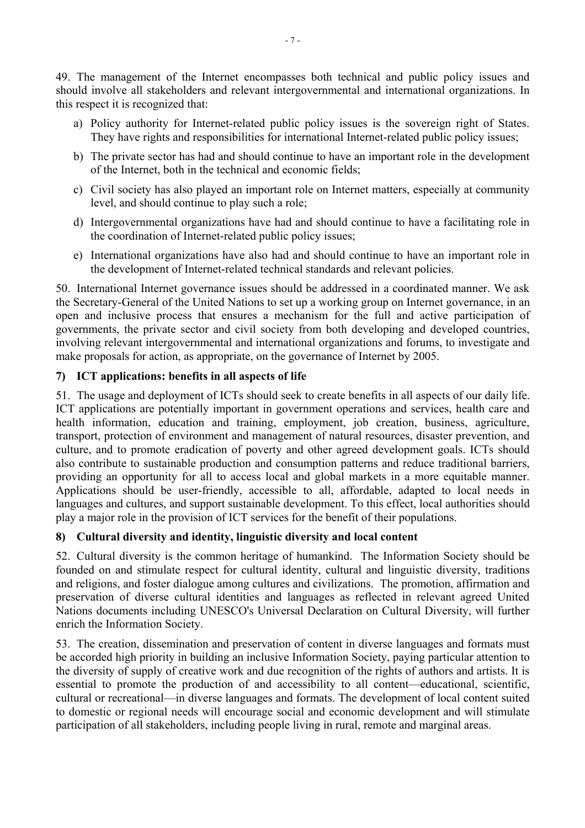49. The management of the Internet encompasses both technical and public policy issues and should involve all stakeholders and relevant intergovernmental and international organizations. In this respect it is recognized that:

- a) Policy authority for Internet-related public policy issues is the sovereign right of States. They have rights and responsibilities for international Internet-related public policy issues;
- b) The private sector has had and should continue to have an important role in the development of the Internet, both in the technical and economic fields;
- c) Civil society has also played an important role on Internet matters, especially at community level, and should continue to play such a role;
- d) Intergovernmental organizations have had and should continue to have a facilitating role in the coordination of Internet-related public policy issues;
- e) International organizations have also had and should continue to have an important role in the development of Internet-related technical standards and relevant policies.

50. International Internet governance issues should be addressed in a coordinated manner. We ask the Secretary-General of the United Nations to set up a working group on Internet governance, in an open and inclusive process that ensures a mechanism for the full and active participation of governments, the private sector and civil society from both developing and developed countries, involving relevant intergovernmental and international organizations and forums, to investigate and make proposals for action, as appropriate, on the governance of Internet by 2005.

## **7) ICT applications: benefits in all aspects of life**

51. The usage and deployment of ICTs should seek to create benefits in all aspects of our daily life. ICT applications are potentially important in government operations and services, health care and health information, education and training, employment, job creation, business, agriculture, transport, protection of environment and management of natural resources, disaster prevention, and culture, and to promote eradication of poverty and other agreed development goals. ICTs should also contribute to sustainable production and consumption patterns and reduce traditional barriers, providing an opportunity for all to access local and global markets in a more equitable manner. Applications should be user-friendly, accessible to all, affordable, adapted to local needs in languages and cultures, and support sustainable development. To this effect, local authorities should play a major role in the provision of ICT services for the benefit of their populations.

### **8) Cultural diversity and identity, linguistic diversity and local content**

52. Cultural diversity is the common heritage of humankind. The Information Society should be founded on and stimulate respect for cultural identity, cultural and linguistic diversity, traditions and religions, and foster dialogue among cultures and civilizations. The promotion, affirmation and preservation of diverse cultural identities and languages as reflected in relevant agreed United Nations documents including UNESCO's Universal Declaration on Cultural Diversity, will further enrich the Information Society.

53. The creation, dissemination and preservation of content in diverse languages and formats must be accorded high priority in building an inclusive Information Society, paying particular attention to the diversity of supply of creative work and due recognition of the rights of authors and artists. It is essential to promote the production of and accessibility to all content—educational, scientific, cultural or recreational—in diverse languages and formats. The development of local content suited to domestic or regional needs will encourage social and economic development and will stimulate participation of all stakeholders, including people living in rural, remote and marginal areas.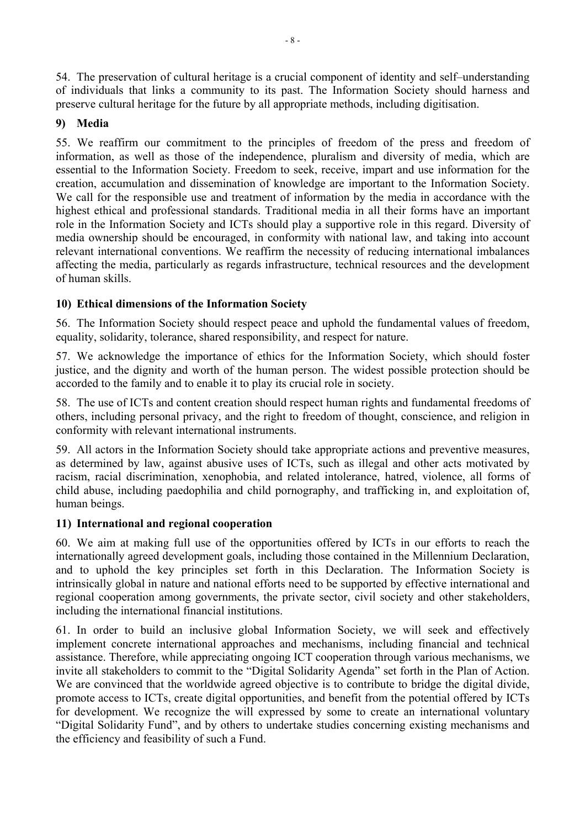54. The preservation of cultural heritage is a crucial component of identity and self–understanding of individuals that links a community to its past. The Information Society should harness and preserve cultural heritage for the future by all appropriate methods, including digitisation.

# **9) Media**

55. We reaffirm our commitment to the principles of freedom of the press and freedom of information, as well as those of the independence, pluralism and diversity of media, which are essential to the Information Society. Freedom to seek, receive, impart and use information for the creation, accumulation and dissemination of knowledge are important to the Information Society. We call for the responsible use and treatment of information by the media in accordance with the highest ethical and professional standards. Traditional media in all their forms have an important role in the Information Society and ICTs should play a supportive role in this regard. Diversity of media ownership should be encouraged, in conformity with national law, and taking into account relevant international conventions. We reaffirm the necessity of reducing international imbalances affecting the media, particularly as regards infrastructure, technical resources and the development of human skills.

# **10) Ethical dimensions of the Information Society**

56. The Information Society should respect peace and uphold the fundamental values of freedom, equality, solidarity, tolerance, shared responsibility, and respect for nature.

57. We acknowledge the importance of ethics for the Information Society, which should foster justice, and the dignity and worth of the human person. The widest possible protection should be accorded to the family and to enable it to play its crucial role in society.

58. The use of ICTs and content creation should respect human rights and fundamental freedoms of others, including personal privacy, and the right to freedom of thought, conscience, and religion in conformity with relevant international instruments.

59. All actors in the Information Society should take appropriate actions and preventive measures, as determined by law, against abusive uses of ICTs, such as illegal and other acts motivated by racism, racial discrimination, xenophobia, and related intolerance, hatred, violence, all forms of child abuse, including paedophilia and child pornography, and trafficking in, and exploitation of, human beings.

# **11) International and regional cooperation**

60. We aim at making full use of the opportunities offered by ICTs in our efforts to reach the internationally agreed development goals, including those contained in the Millennium Declaration, and to uphold the key principles set forth in this Declaration. The Information Society is intrinsically global in nature and national efforts need to be supported by effective international and regional cooperation among governments, the private sector, civil society and other stakeholders, including the international financial institutions.

61. In order to build an inclusive global Information Society, we will seek and effectively implement concrete international approaches and mechanisms, including financial and technical assistance. Therefore, while appreciating ongoing ICT cooperation through various mechanisms, we invite all stakeholders to commit to the "Digital Solidarity Agenda" set forth in the Plan of Action. We are convinced that the worldwide agreed objective is to contribute to bridge the digital divide. promote access to ICTs, create digital opportunities, and benefit from the potential offered by ICTs for development. We recognize the will expressed by some to create an international voluntary "Digital Solidarity Fund", and by others to undertake studies concerning existing mechanisms and the efficiency and feasibility of such a Fund.